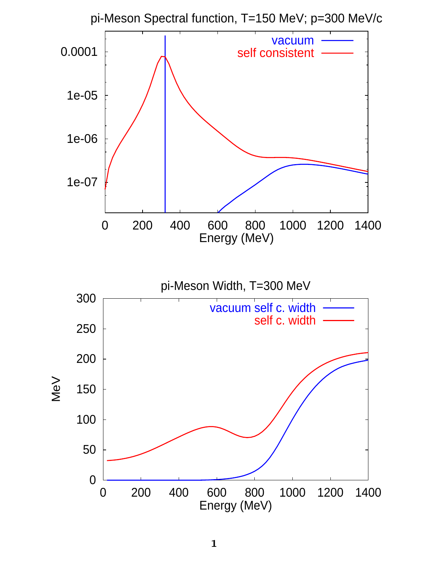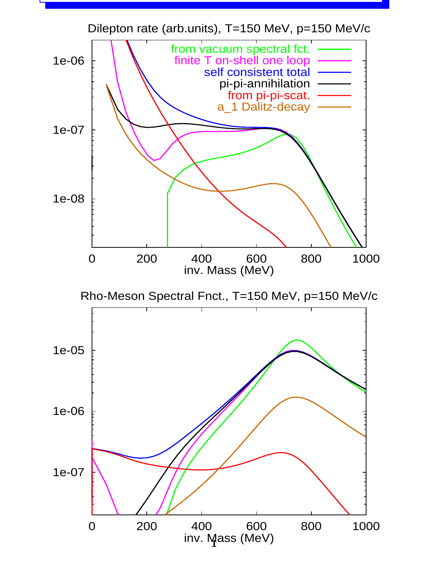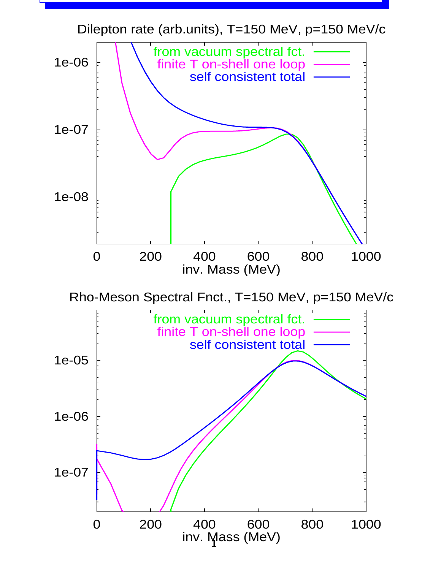Dilepton rate (arb.units), T=150 MeV, p=150 MeV/c



Rho-Meson Spectral Fnct., T=150 MeV, p=150 MeV/c

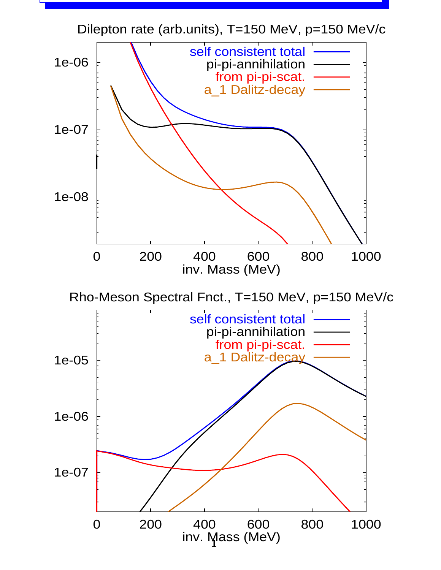Dilepton rate (arb.units), T=150 MeV, p=150 MeV/c



Rho-Meson Spectral Fnct., T=150 MeV, p=150 MeV/c

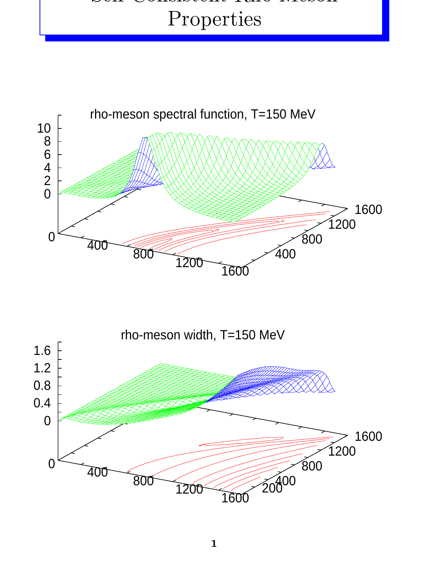##